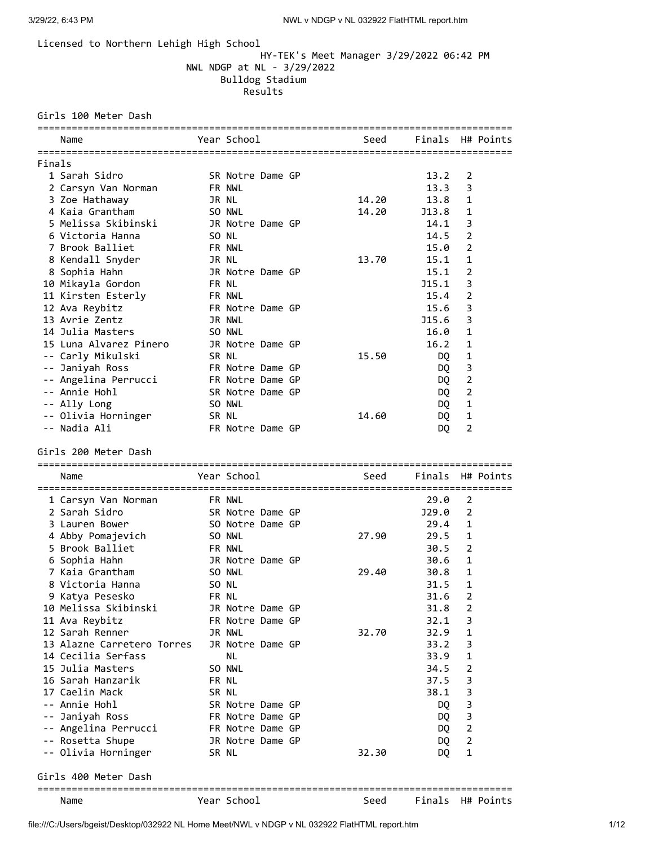## Licensed to Northern Lehigh High School

# HY-TEK's Meet Manager 3/29/2022 06:42 PM NWL NDGP at NL - 3/29/2022 Bulldog Stadium Results

### Girls 100 Meter Dash

|        | Name                                    |              | Year School      |  | Seed  | Finals                                 |                | H# Points |
|--------|-----------------------------------------|--------------|------------------|--|-------|----------------------------------------|----------------|-----------|
| Finals |                                         |              |                  |  |       |                                        |                |           |
|        | 1 Sarah Sidro                           |              | SR Notre Dame GP |  |       | 13.2                                   | 2              |           |
|        | 2 Carsyn Van Norman                     |              | FR NWL           |  |       | 13.3                                   | 3              |           |
|        | 3 Zoe Hathaway                          | JR NL        |                  |  | 14.20 | 13.8                                   | $\mathbf{1}$   |           |
|        | 4 Kaia Grantham                         |              | SO NWL           |  | 14.20 | J13.8                                  | 1              |           |
|        | 5 Melissa Skibinski                     |              | JR Notre Dame GP |  |       | 14.1                                   | 3              |           |
|        | 6 Victoria Hanna                        | SO NL        |                  |  |       | 14.5                                   | 2              |           |
|        | 7 Brook Balliet                         |              | <b>FR NWL</b>    |  |       | 15.0                                   | 2              |           |
|        | 8 Kendall Snyder                        | JR NL        |                  |  | 13.70 | 15.1                                   | 1              |           |
|        | 8 Sophia Hahn                           |              | JR Notre Dame GP |  |       | 15.1                                   | 2              |           |
|        | 10 Mikayla Gordon                       | <b>FR NL</b> |                  |  |       | J15.1                                  | 3              |           |
|        | 11 Kirsten Esterly                      |              | FR NWL           |  |       | 15.4                                   | 2              |           |
|        | 12 Ava Reybitz                          |              | FR Notre Dame GP |  |       | 15.6                                   | 3              |           |
|        | 13 Avrie Zentz                          |              | JR NWL           |  |       | J15.6                                  | 3              |           |
|        | 14 Julia Masters                        |              | SO NWL           |  |       | 16.0                                   | 1              |           |
|        | 15 Luna Alvarez Pinero                  |              | JR Notre Dame GP |  |       | 16.2                                   | 1              |           |
|        | -- Carly Mikulski                       | SR NL        |                  |  | 15.50 | DQ                                     | $\mathbf{1}$   |           |
|        | -- Janiyah Ross                         |              | FR Notre Dame GP |  |       | DQ                                     | 3              |           |
|        | -- Angelina Perrucci                    |              | FR Notre Dame GP |  |       | DQ.                                    | $\overline{2}$ |           |
|        | -- Annie Hohl                           |              | SR Notre Dame GP |  |       | DQ                                     | $\overline{2}$ |           |
|        | -- Ally Long                            |              | SO NWL           |  |       | DQ.                                    | $\mathbf{1}$   |           |
|        | -- Olivia Horninger                     | SR NL        |                  |  | 14.60 | DQ                                     | $\mathbf{1}$   |           |
|        | -- Nadia Ali                            |              | FR Notre Dame GP |  |       | DQ.                                    | $\overline{2}$ |           |
|        | Girls 200 Meter Dash                    |              | Year School      |  | Seed  | Finals H# Points                       |                |           |
|        | Name                                    |              |                  |  |       |                                        |                |           |
|        |                                         |              |                  |  |       |                                        |                |           |
|        | 1 Carsyn Van Norman                     |              | FR NWL           |  |       | 29.0                                   | 2              |           |
|        | 2 Sarah Sidro                           |              | SR Notre Dame GP |  |       | J29.0                                  | 2              |           |
|        | 3 Lauren Bower                          |              | SO Notre Dame GP |  |       | 29.4                                   | 1              |           |
|        | 4 Abby Pomajevich                       |              | SO NWL           |  | 27.90 | 29.5                                   | 1              |           |
|        | 5 Brook Balliet                         |              | FR NWL           |  |       | 30.5                                   | 2              |           |
|        | 6 Sophia Hahn                           |              | JR Notre Dame GP |  |       | 30.6                                   | $\mathbf{1}$   |           |
|        | 7 Kaia Grantham                         |              | SO NWL           |  | 29.40 | 30.8                                   | $\mathbf{1}$   |           |
|        | 8 Victoria Hanna                        | SO NL        |                  |  |       | 31.5                                   | $\mathbf{1}$   |           |
|        | 9 Katya Pesesko                         | FR NL        |                  |  |       | 31.6                                   | 2              |           |
|        | 10 Melissa Skibinski                    |              | JR Notre Dame GP |  |       | 31.8                                   | 2              |           |
|        | 11 Ava Reybitz                          |              | FR Notre Dame GP |  |       | 32.1                                   | 3              |           |
|        | 12 Sarah Renner                         |              | JR NWL           |  | 32.70 | 32.9                                   | 1              |           |
|        | 13 Alazne Carretero Torres              |              | JR Notre Dame GP |  |       | 33.2                                   | 3              |           |
|        | 14 Cecilia Serfass                      |              | NL               |  |       | 33.9                                   | 1              |           |
|        | 15 Julia Masters                        |              | SO NWL           |  |       | 34.5                                   | 2              |           |
|        | 16 Sarah Hanzarik<br>17 Caelin Mack     | FR NL        |                  |  |       | 37.5                                   | 3              |           |
|        |                                         | SR NL        | SR Notre Dame GP |  |       | 38.1                                   | 3              |           |
|        | -- Annie Hohl                           |              | FR Notre Dame GP |  |       | DQ                                     | 3              |           |
| -- 1   | -- Janiyah Ross                         |              | FR Notre Dame GP |  |       | DQ.                                    | 3              |           |
|        | Angelina Perrucci                       |              | JR Notre Dame GP |  |       | DQ.<br>DQ.                             | 2<br>2         |           |
|        | -- Rosetta Shupe<br>-- Olivia Horninger | SR NL        |                  |  | 32.30 | DQ.                                    | 1              |           |
|        | Girls 400 Meter Dash                    |              |                  |  |       |                                        |                |           |
|        | Name                                    |              | Year School      |  | Seed  | ==================<br>Finals H# Points |                |           |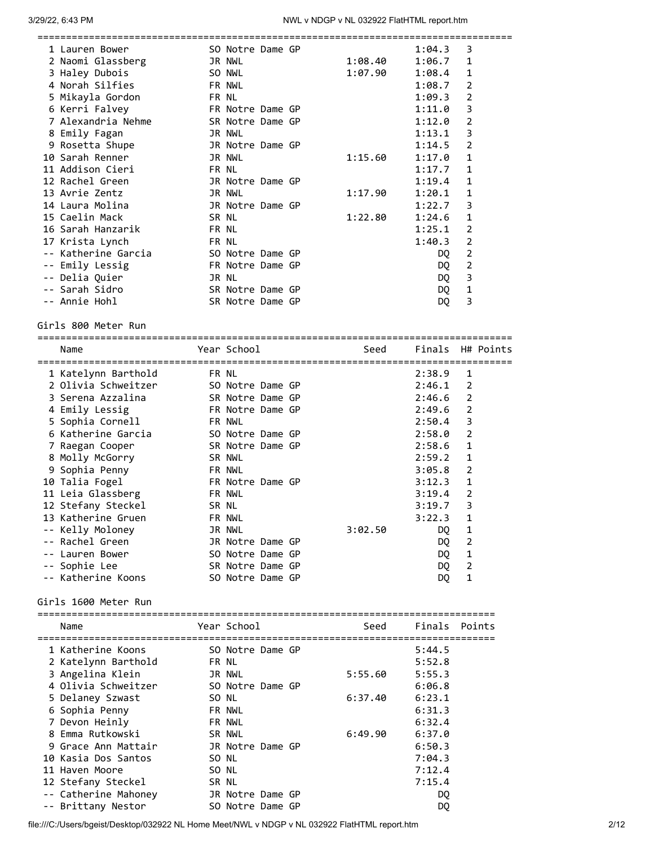| 1 Lauren Bower                             |       | SO Notre Dame GP |         | 1:04.3           | 3              |
|--------------------------------------------|-------|------------------|---------|------------------|----------------|
| 2 Naomi Glassberg                          |       | JR NWL           | 1:08.40 | 1:06.7           | 1              |
| 3 Haley Dubois<br>4 Norah Silfies          |       | SO NWL           | 1:07.90 | 1:08.4           | 1              |
|                                            |       | <b>FR NWL</b>    |         | 1:08.7           | 2              |
| 5 Mikayla Gordon                           |       | FR NL            |         | 1:09.3           | $\overline{2}$ |
| 6 Kerri Falvey                             |       | FR Notre Dame GP |         | 1:11.0           | 3              |
| 7 Alexandria Nehme                         |       | SR Notre Dame GP |         | 1:12.0           | 2              |
| 8 Emily Fagan                              |       | JR NWL           |         | 1:13.1           | 3              |
| 9 Rosetta Shupe                            |       | JR Notre Dame GP |         | 1:14.5           | $\overline{2}$ |
| 10 Sarah Renner                            |       | JR NWL           | 1:15.60 | 1:17.0           | 1              |
| 11 Addison Cieri                           |       | FR NL            |         | 1:17.7           | 1              |
| 12 Rachel Green                            |       | JR Notre Dame GP |         | 1:19.4           | 1              |
| 13 Avrie Zentz                             |       | JR NWL           | 1:17.90 | 1:20.1           | 1              |
| 14 Laura Molina                            |       | JR Notre Dame GP |         | 1:22.7           | 3              |
| 15 Caelin Mack                             | SR NL |                  | 1:22.80 | 1:24.6           | 1              |
| 16 Sarah Hanzarik                          |       | FR NL            |         | 1:25.1           | $\overline{2}$ |
| 17 Krista Lynch                            |       | FR NL            |         | 1:40.3           | $\overline{2}$ |
| -- Katherine Garcia                        |       | SO Notre Dame GP |         | DQ               | $\overline{2}$ |
| -- Emily Lessig                            |       | FR Notre Dame GP |         | DQ               | $\overline{2}$ |
| -- Delia Quier                             |       | JR NL            |         | DQ               | 3              |
| -- Sarah Sidro                             |       | SR Notre Dame GP |         | DQ               | 1              |
| -- Annie Hohl                              |       | SR Notre Dame GP |         | DQ               | 3              |
|                                            |       |                  |         |                  |                |
| Girls 800 Meter Run                        |       |                  |         |                  |                |
|                                            |       |                  |         |                  |                |
| Name                                       |       | Year School      | Seed    | Finals           | H# Points      |
|                                            |       | FR NL            |         | 2:38.9           | 1              |
| 1 Katelynn Barthold<br>2 Olivia Schweitzer |       | SO Notre Dame GP |         | 2:46.1           | $\overline{2}$ |
|                                            |       |                  |         |                  |                |
| 3 Serena Azzalina                          |       | SR Notre Dame GP |         | 2:46.6           | 2              |
| 4 Emily Lessig                             |       | FR Notre Dame GP |         | 2:49.6           | $\overline{2}$ |
| 5 Sophia Cornell                           |       | FR NWL           |         | 2:50.4           | 3              |
| 6 Katherine Garcia                         |       | SO Notre Dame GP |         | 2:58.0           | $\overline{2}$ |
| 7 Raegan Cooper                            |       | SR Notre Dame GP |         | 2:58.6           | 1              |
| 8 Molly McGorry                            |       | SR NWL           |         | 2:59.2           | 1              |
| 9 Sophia Penny                             |       | <b>FR NWL</b>    |         | 3:05.8           | $\overline{2}$ |
| 10 Talia Fogel                             |       | FR Notre Dame GP |         | 3:12.3           | 1              |
| 11 Leia Glassberg                          |       | <b>FR NWL</b>    |         | 3:19.4           | 2              |
| 12 Stefany Steckel                         |       | SR NL            |         | 3:19.7           | 3              |
| 13 Katherine Gruen                         |       | FR NWL           |         | 3:22.3           | 1              |
| -- Kelly Moloney                           |       | JR NWL           | 3:02.50 | DQ               | $\mathbf{1}$   |
| -- Rachel Green                            |       | JR Notre Dame GP |         | DQ.              | $\overline{2}$ |
| -- Lauren Bower                            |       | SO Notre Dame GP |         | DQ.              | $\mathbf{1}$   |
| -- Sophie Lee                              |       | SR Notre Dame GP |         | DQ               | $\overline{2}$ |
| -- Katherine Koons                         |       | SO Notre Dame GP |         | DQ.              | 1              |
|                                            |       |                  |         |                  |                |
| Girls 1600 Meter Run                       |       |                  |         |                  |                |
| ============================<br>Name       |       | Year School      | Seed    |                  | Finals Points  |
|                                            |       |                  |         |                  |                |
| 1 Katherine Koons                          |       | SO Notre Dame GP |         | 5:44.5           |                |
| 2 Katelynn Barthold                        |       | FR NL            |         | 5:52.8           |                |
| 3 Angelina Klein                           |       | JR NWL           | 5:55.60 | 5:55.3           |                |
| 4 Olivia Schweitzer                        |       | SO Notre Dame GP |         | 6:06.8           |                |
| 5 Delaney Szwast                           |       | SO NL            | 6:37.40 | 6:23.1           |                |
| 6 Sophia Penny                             |       | FR NWL           |         | 6:31.3           |                |
| 7 Devon Heinly                             |       | FR NWL           |         | 6:32.4           |                |
| 8 Emma Rutkowski                           |       | SR NWL           | 6:49.90 | 6:37.0           |                |
| 9 Grace Ann Mattair                        |       | JR Notre Dame GP |         | 6:50.3           |                |
| 10 Kasia Dos Santos                        |       |                  |         |                  |                |
| 11 Haven Moore                             |       | SO NL<br>SO NL   |         | 7:04.3<br>7:12.4 |                |
|                                            |       |                  |         |                  |                |

file:///C:/Users/bgeist/Desktop/032922 NL Home Meet/NWL v NDGP v NL 032922 FlatHTML report.htm 2/12

12 Stefany Steckel SR NL 50 7:15.4 -- Catherine Mahoney JR Notre Dame GP DQ -- Brittany Nestor SO Notre Dame GP DQ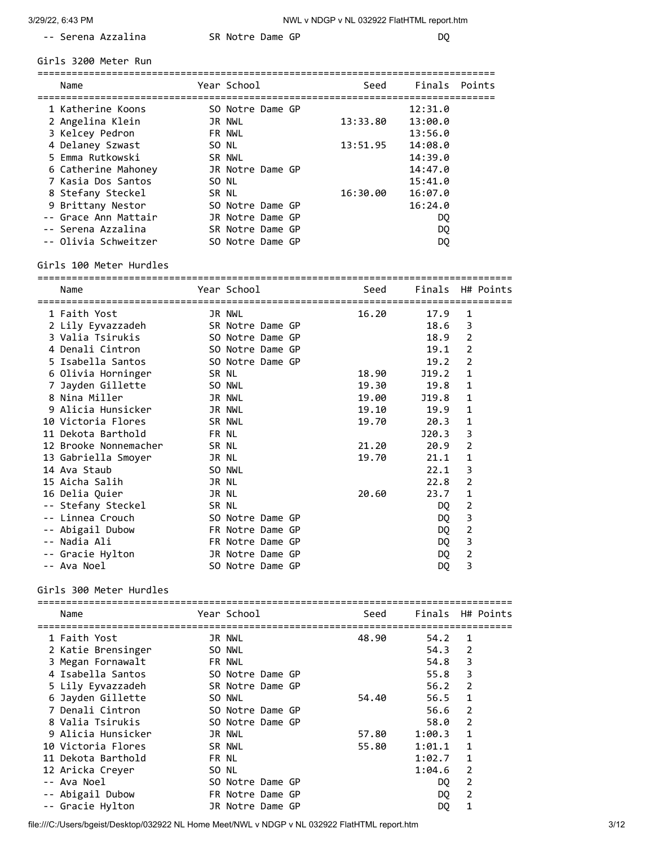-- Serena Azzalina SR Notre Dame GP DQ

Girls 3200 Meter Run

| Name                 |       | Year School      |  | Seed     | Finals Points |  |
|----------------------|-------|------------------|--|----------|---------------|--|
| 1 Katherine Koons    |       | SO Notre Dame GP |  |          | 12:31.0       |  |
| 2 Angelina Klein     |       | JR NWL           |  | 13:33.80 | 13:00.0       |  |
| 3 Kelcey Pedron      |       | FR NWL           |  |          | 13:56.0       |  |
| 4 Delaney Szwast     |       | SO NL            |  | 13:51.95 | 14:08.0       |  |
| 5 Emma Rutkowski     |       | SR NWL           |  |          | 14:39.0       |  |
| 6 Catherine Mahoney  |       | JR Notre Dame GP |  |          | 14:47.0       |  |
| 7 Kasia Dos Santos   | SO NL |                  |  |          | 15:41.0       |  |
| 8 Stefany Steckel    | SR NL |                  |  | 16:30.00 | 16:07.0       |  |
| 9 Brittany Nestor    |       | SO Notre Dame GP |  |          | 16:24.0       |  |
| -- Grace Ann Mattair |       | JR Notre Dame GP |  |          | DQ.           |  |
| -- Serena Azzalina   |       | SR Notre Dame GP |  |          | DQ.           |  |
| -- Olivia Schweitzer |       | SO Notre Dame GP |  |          | DO            |  |

Girls 100 Meter Hurdles

| Name                                           |        | Year School      | <b>Seed</b> | Finals H# Points |                |  |
|------------------------------------------------|--------|------------------|-------------|------------------|----------------|--|
|                                                |        |                  |             |                  |                |  |
| 1 Faith Yost                                   |        | JR NWL           | 16.20       | 17.9             | 1              |  |
| 2 Lily Eyvazzadeh SR Notre Dame GP             |        |                  |             | 18.6             | 3              |  |
| 3 Valia Tsirukis                               |        | SO Notre Dame GP |             | 18.9             | $\overline{2}$ |  |
| 4 Denali Cintron 50 Notre Dame GP              |        |                  |             | 19.1             | 2              |  |
| 5 Isabella Santos 50 Notre Dame GP             |        |                  |             | 19.2             | $\overline{2}$ |  |
| 6 Olivia Horninger SR NL                       |        |                  | 18.90       | J19.2            | $\mathbf{1}$   |  |
| 7 Jayden Gillette<br>SO NWL                    |        |                  | 19.30       | 19.8             | 1              |  |
| 8 Nina Miller                                  | JR NWL |                  | 19.00       | J19.8            | 1              |  |
| 9 Alicia Hunsicker<br><b>JR NWL</b>            |        |                  | 19.10       | 19.9             | 1              |  |
| 10 Victoria Flores<br><b>Example 18 SR NWL</b> |        |                  | 19.70       | 20.3             | 1              |  |
| 11 Dekota Barthold<br><b>ERNL</b>              |        |                  |             | J20.3            | 3              |  |
| 12 Brooke Nonnemacher SR NL                    |        |                  |             | 21.20<br>20.9    | 2              |  |
| 13 Gabriella Smoyer<br><b>JR NL</b>            |        |                  | 19.70       | 21.1             | 1              |  |
| 14 Ava Staub                                   | SO NWL |                  |             | 22.1             | 3              |  |
| 15 Aicha Salih                                 | JR NL  |                  |             | 22.8             | $\overline{2}$ |  |
| 16 Delia Quier                                 | JR NL  |                  | 20.60       | 23.7             | 1              |  |
| -- Stefany Steckel SR NL                       |        |                  |             | DQ               | $\overline{2}$ |  |
| -- Linnea Crouch                               |        | SO Notre Dame GP |             | DQ               | 3              |  |
| -- Abigail Dubow                               |        | FR Notre Dame GP |             | DQ               | 2              |  |
| -- Nadia Ali                                   |        | FR Notre Dame GP |             | DQ               | 3              |  |
| -- Gracie Hylton                               |        | JR Notre Dame GP |             | DQ               | 2              |  |
| -- Ava Noel                                    |        | SO Notre Dame GP |             | DQ               | 3              |  |

Girls 300 Meter Hurdles

|                                   |       |                  | ================                   |       |                  |                |  |
|-----------------------------------|-------|------------------|------------------------------------|-------|------------------|----------------|--|
| Name<br>========================= |       | Year School      | ================================== | Seed  | Finals H# Points |                |  |
| 1 Faith Yost                      |       | JR NWL           |                                    | 48.90 | 54.2             | 1              |  |
| 2 Katie Brensinger                |       | SO NWL           |                                    |       | 54.3             | 2              |  |
| 3 Megan Fornawalt                 |       | <b>FR NWL</b>    |                                    |       | 54.8             | 3              |  |
| 4 Isabella Santos                 |       | SO Notre Dame GP |                                    |       | 55.8             | 3              |  |
| 5 Lily Eyvazzadeh                 |       | SR Notre Dame GP |                                    |       | 56.2             | 2              |  |
| 6 Jayden Gillette                 |       | SO NWL           |                                    | 54.40 | 56.5             | $\mathbf{1}$   |  |
| 7 Denali Cintron                  |       | SO Notre Dame GP |                                    |       | 56.6             | 2              |  |
| 8 Valia Tsirukis                  |       | SO Notre Dame GP |                                    |       | 58.0             | $\overline{2}$ |  |
| 9 Alicia Hunsicker                |       | JR NWL           |                                    | 57.80 | 1:00.3           | 1              |  |
| 10 Victoria Flores                |       | SR NWL           |                                    | 55.80 | 1:01.1           | 1              |  |
| 11 Dekota Barthold                | FR NL |                  |                                    |       | 1:02.7           | 1              |  |
| 12 Aricka Creyer                  | SO NL |                  |                                    |       | 1:04.6           | 2              |  |
| -- Ava Noel                       |       | SO Notre Dame GP |                                    |       | DQ.              | 2              |  |
| -- Abigail Dubow                  |       | FR Notre Dame GP |                                    |       | DQ.              | 2              |  |
| -- Gracie Hylton                  |       | JR Notre Dame GP |                                    |       | DQ               | 1              |  |

file:///C:/Users/bgeist/Desktop/032922 NL Home Meet/NWL v NDGP v NL 032922 FlatHTML report.htm 3/12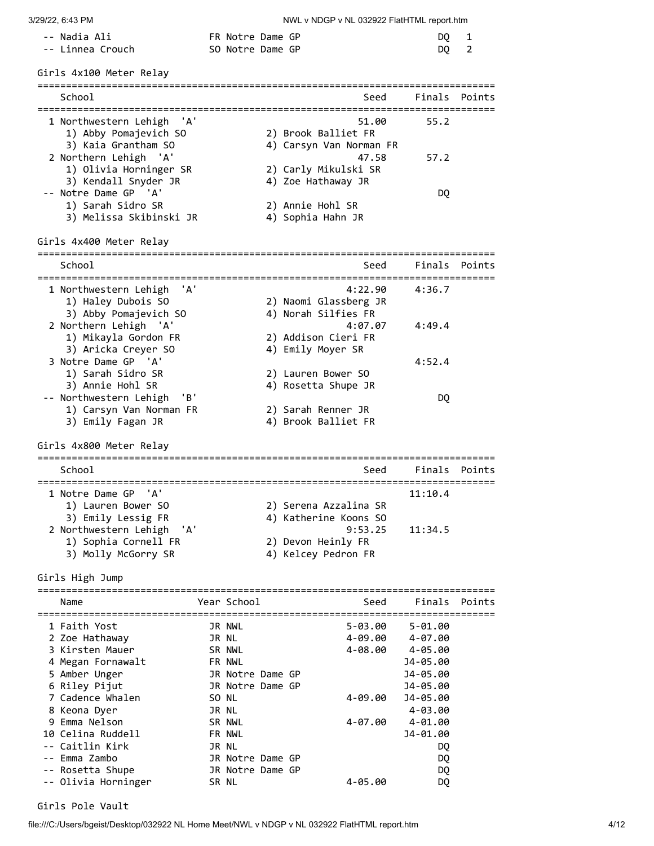| -- Nadia Ali     | FR Notre Dame GP | DO 1 |  |
|------------------|------------------|------|--|
| -- Linnea Crouch | SO Notre Dame GP | DO 2 |  |

| Girls 4x100 Meter Relay                                                                           |                  |  |                                                                               |                      |               |
|---------------------------------------------------------------------------------------------------|------------------|--|-------------------------------------------------------------------------------|----------------------|---------------|
| School<br>======================================                                                  |                  |  | Seed                                                                          | =====                | Finals Points |
| 1 Northwestern Lehigh<br>'A'<br>1) Abby Pomajevich SO<br>3) Kaia Grantham SO                      |                  |  | 51.00<br>2) Brook Balliet FR<br>4) Carsyn Van Norman FR                       | 55.2                 |               |
| 2 Northern Lehigh 'A'<br>1) Olivia Horninger SR                                                   |                  |  | 47.58<br>2) Carly Mikulski SR                                                 | 57.2                 |               |
| 3) Kendall Snyder JR<br>-- Notre Dame GP 'A'<br>1) Sarah Sidro SR                                 |                  |  | 4) Zoe Hathaway JR                                                            | DQ                   |               |
| 3) Melissa Skibinski JR                                                                           |                  |  | 2) Annie Hohl SR<br>4) Sophia Hahn JR                                         |                      |               |
| Girls 4x400 Meter Relay                                                                           |                  |  | :===============================                                              |                      |               |
| School                                                                                            |                  |  | Seed                                                                          |                      | Finals Points |
| 1 Northwestern Lehigh<br>'A'<br>1) Haley Dubois SO<br>3) Abby Pomajevich SO                       |                  |  | 4:22.90<br>2) Naomi Glassberg JR<br>4) Norah Silfies FR                       | 4:36.7               |               |
| 2 Northern Lehigh 'A'<br>1) Mikayla Gordon FR<br>3) Aricka Creyer SO                              |                  |  | 4:07.07<br>2) Addison Cieri FR<br>4) Emily Moyer SR                           | 4:49.4               |               |
| 3 Notre Dame GP 'A'<br>1) Sarah Sidro SR<br>3) Annie Hohl SR                                      |                  |  | 2) Lauren Bower SO<br>4) Rosetta Shupe JR                                     | 4:52.4               |               |
| -- Northwestern Lehigh<br>'B'<br>1) Carsyn Van Norman FR<br>3) Emily Fagan JR                     |                  |  | 2) Sarah Renner JR<br>4) Brook Balliet FR                                     | DQ                   |               |
| Girls 4x800 Meter Relay                                                                           |                  |  |                                                                               |                      |               |
| School                                                                                            |                  |  | Seed                                                                          |                      | Finals Points |
| 1 Notre Dame GP<br>'A'<br>1) Lauren Bower SO                                                      |                  |  | 2) Serena Azzalina SR                                                         | 11:10.4              |               |
| 3) Emily Lessig FR<br>2 Northwestern Lehigh<br>'A'<br>1) Sophia Cornell FR<br>3) Molly McGorry SR |                  |  | 4) Katherine Koons SO<br>9:53.25<br>2) Devon Heinly FR<br>4) Kelcey Pedron FR | 11:34.5              |               |
| Girls High Jump                                                                                   |                  |  |                                                                               |                      |               |
| Name                                                                                              | Year School      |  | Seed                                                                          | Finals               | Points        |
| 1 Faith Yost                                                                                      | JR NWL           |  | $5 - 03.00$                                                                   | 5-01.00              |               |
| 2 Zoe Hathaway                                                                                    | JR NL            |  | 4-09.00                                                                       | 4-07.00              |               |
| 3 Kirsten Mauer<br>4 Megan Fornawalt                                                              | SR NWL<br>FR NWL |  | 4-08.00                                                                       | 4-05.00              |               |
| 5 Amber Unger                                                                                     | JR Notre Dame GP |  |                                                                               | J4-05.00<br>J4-05.00 |               |
| 6 Riley Pijut                                                                                     | JR Notre Dame GP |  |                                                                               | J4-05.00             |               |
| 7 Cadence Whalen                                                                                  | SO NL            |  | 4-09.00                                                                       | J4-05.00             |               |
| 8 Keona Dyer                                                                                      | JR NL            |  |                                                                               | 4-03.00              |               |
| 9 Emma Nelson                                                                                     | SR NWL           |  | 4-07.00                                                                       | $4 - 01.00$          |               |
| 10 Celina Ruddell<br>-- Caitlin Kirk                                                              | FR NWL<br>JR NL  |  |                                                                               | J4-01.00<br>DQ       |               |
| Emma Zambo                                                                                        | JR Notre Dame GP |  |                                                                               | DQ                   |               |
| -- Rosetta Shupe                                                                                  | JR Notre Dame GP |  |                                                                               | DQ                   |               |
| -- Olivia Horninger                                                                               | SR NL            |  | 4-05.00                                                                       | DQ.                  |               |

### Girls Pole Vault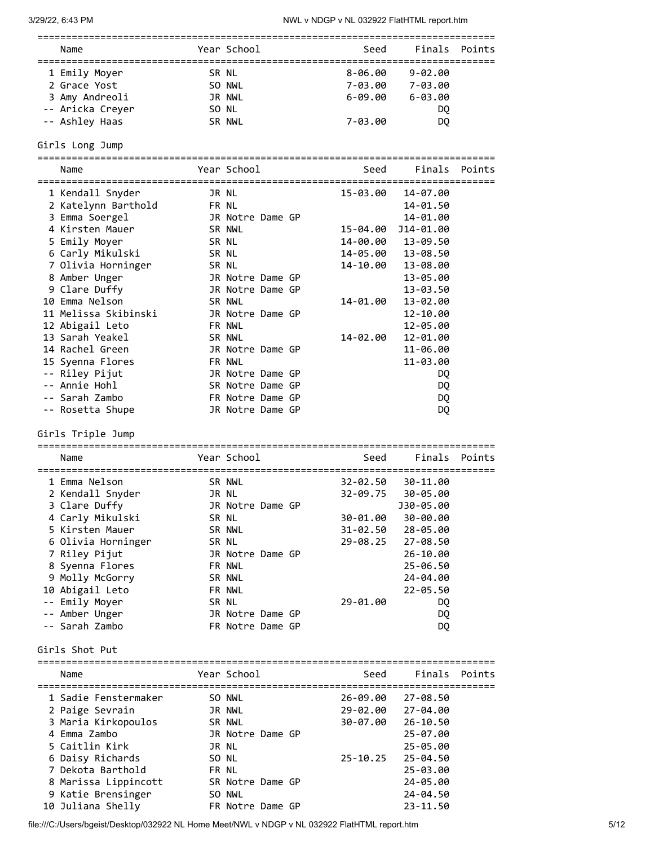| Name                                                              |                  | Year School                                  |                                              | Seed | Finals Points                                     |  |
|-------------------------------------------------------------------|------------------|----------------------------------------------|----------------------------------------------|------|---------------------------------------------------|--|
| 1 Emily Moyer<br>2 Grace Yost<br>3 Amy Andreoli<br>-- Ashley Haas | -- Aricka Creyer | SR NL<br>SO NWL<br>JR NWL<br>SO NL<br>SR NWL | 8-06.00<br>7-03.00<br>$6 - 09.00$<br>7-03.00 |      | $9 - 02.00$<br>7-03.00<br>$6 - 03.00$<br>DQ<br>DO |  |

## Girls Long Jump

================================================================================

| Name                 | Year School      | Seed     | Finals            | Points |
|----------------------|------------------|----------|-------------------|--------|
|                      |                  |          |                   |        |
| 1 Kendall Snyder     | JR NL            | 15-03.00 | 14-07.00          |        |
| 2 Katelynn Barthold  | FR NL            |          | 14-01.50          |        |
| 3 Emma Soergel       | JR Notre Dame GP |          | 14-01.00          |        |
| 4 Kirsten Mauer      | SR NWL           |          |                   |        |
| 5 Emily Moyer        | SR NL            |          | 14-00.00 13-09.50 |        |
| 6 Carly Mikulski     | SR NL            |          | 14-05.00 13-08.50 |        |
| 7 Olivia Horninger   | SR NL            | 14-10.00 | 13-08.00          |        |
| 8 Amber Unger        | JR Notre Dame GP |          | 13-05.00          |        |
| 9 Clare Duffy        | JR Notre Dame GP |          | 13-03.50          |        |
| 10 Emma Nelson       | SR NWL           | 14-01.00 | 13-02.00          |        |
| 11 Melissa Skibinski | JR Notre Dame GP |          | 12-10.00          |        |
| 12 Abigail Leto      | FR NWL           |          | 12-05.00          |        |
| 13 Sarah Yeakel      | SR NWL           | 14-02.00 | 12-01.00          |        |
| 14 Rachel Green      | JR Notre Dame GP |          | 11-06.00          |        |
| 15 Syenna Flores     | FR NWL           |          | 11-03.00          |        |
| -- Riley Pijut       | JR Notre Dame GP |          | DQ                |        |
| -- Annie Hohl        | SR Notre Dame GP |          | DQ                |        |
| -- Sarah Zambo       | FR Notre Dame GP |          | DQ                |        |
| -- Rosetta Shupe     | JR Notre Dame GP |          | DQ                |        |

Girls Triple Jump

| Name               |  | Year School      |  |  | Seed               | Finals Points     |  |  |  |
|--------------------|--|------------------|--|--|--------------------|-------------------|--|--|--|
|                    |  |                  |  |  | ================== |                   |  |  |  |
| 1 Emma Nelson      |  | SR NWL           |  |  | 32-02.50           | 30-11.00          |  |  |  |
| 2 Kendall Snyder   |  | JR NL            |  |  |                    | 32-09.75 30-05.00 |  |  |  |
| 3 Clare Duffy      |  | JR Notre Dame GP |  |  |                    | J30-05.00         |  |  |  |
| 4 Carly Mikulski   |  | SR NL            |  |  | 30-01.00           | 30-00.00          |  |  |  |
| 5 Kirsten Mauer    |  | SR NWL           |  |  |                    | 31-02.50 28-05.00 |  |  |  |
| 6 Olivia Horninger |  | SR NL            |  |  |                    | 29-08.25 27-08.50 |  |  |  |
| 7 Riley Pijut      |  | JR Notre Dame GP |  |  |                    | 26-10.00          |  |  |  |
| 8 Syenna Flores    |  | FR NWL           |  |  |                    | 25-06.50          |  |  |  |
| 9 Molly McGorry    |  | SR NWL           |  |  |                    | 24-04.00          |  |  |  |
| 10 Abigail Leto    |  | FR NWL           |  |  |                    | $22 - 05.50$      |  |  |  |
| -- Emily Moyer     |  | SR NL            |  |  | 29-01.00           | DQ                |  |  |  |
| -- Amber Unger     |  | JR Notre Dame GP |  |  |                    | DQ                |  |  |  |
| -- Sarah Zambo     |  | FR Notre Dame GP |  |  |                    | DQ                |  |  |  |
| Girls Shot Put     |  |                  |  |  |                    |                   |  |  |  |

| Name                 | Year School      | Seed         | Finals Points |  |
|----------------------|------------------|--------------|---------------|--|
| 1 Sadie Fenstermaker | SO NWL           | 26-09.00     | 27-08.50      |  |
| 2 Paige Sevrain      | JR NWL           | 29-02.00     | 27-04.00      |  |
| 3 Maria Kirkopoulos  | SR NWL           | 30-07.00     | 26-10.50      |  |
| 4 Emma Zambo         | JR Notre Dame GP |              | 25-07.00      |  |
| 5 Caitlin Kirk       | JR NL            |              | 25-05.00      |  |
| 6 Daisy Richards     | SO NL            | $25 - 10.25$ | 25-04.50      |  |
| 7 Dekota Barthold    | FR NL            |              | 25-03.00      |  |
| 8 Marissa Lippincott | SR Notre Dame GP |              | 24-05.00      |  |
| 9 Katie Brensinger   | SO NWL           |              | 24-04.50      |  |
| 10 Juliana Shelly    | FR Notre Dame GP |              | $23 - 11.50$  |  |

file:///C:/Users/bgeist/Desktop/032922 NL Home Meet/NWL v NDGP v NL 032922 FlatHTML report.htm 5/12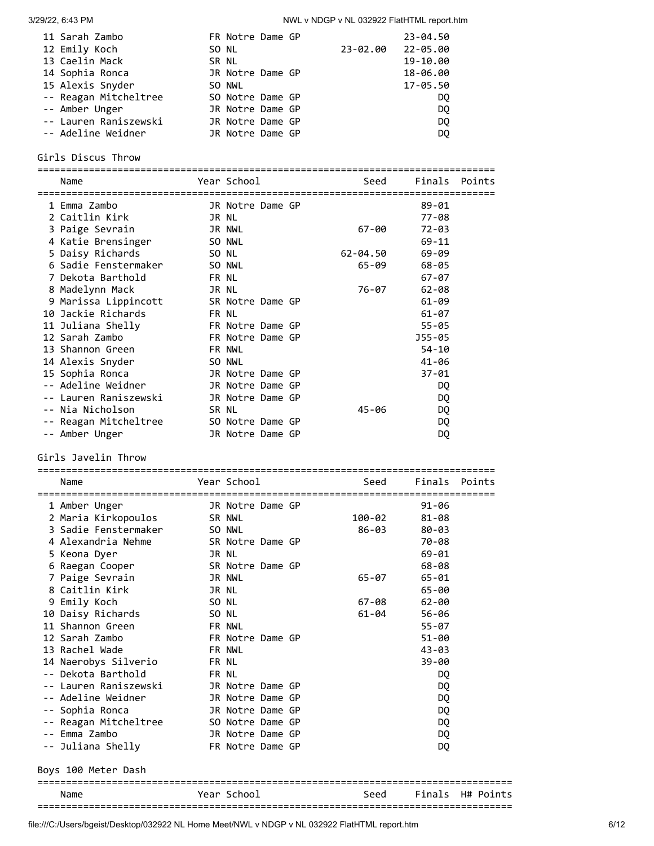| 11 Sarah Zambo        | FR Notre Dame GP |          | $23 - 04.50$ |
|-----------------------|------------------|----------|--------------|
| 12 Emily Koch         | SO NL            | 23-02.00 | 22-05.00     |
| 13 Caelin Mack        | SR NL            |          | 19-10.00     |
| 14 Sophia Ronca       | JR Notre Dame GP |          | 18-06.00     |
| 15 Alexis Snyder      | SO NWL           |          | 17-05.50     |
| -- Reagan Mitcheltree | SO Notre Dame GP |          | DO.          |
| -- Amber Unger        | JR Notre Dame GP |          | DQ.          |
| -- Lauren Raniszewski | JR Notre Dame GP |          | <b>DQ</b>    |
| -- Adeline Weidner    | JR Notre Dame GP |          | DQ           |

### Girls Discus Throw

================================================================================ Name The Year School Seed Finals Points ================================================================================ 1 Emma Zambo JR Notre Dame GP 89-01 2 Caitlin Kirk JR NL 77-08 3 Paige Sevrain JR NWL 67-00 72-03 4 Katie Brensinger SO NWL 69-11 5 Daisy Richards SO NL 62-04.50 69-09 6 Sadie Fenstermaker SO NWL 65-09 68-05 7 Dekota Barthold FR NL 67-07 8 Madelynn Mack (1989)<br>
8 Madelynn Mack (1989)<br>
8 Madelynn Mack (1989)<br>
8 Marissa Lippincott (1989)<br>
18 Marissa Lippincott (1989)<br>
18 Marissa Lippincott (1989)<br>
18 Marissa Lippincott (1989)<br>
18 Marissa Lippincott (1989)<br>
1 9 Marissa Lippincott SR Notre Dame GP 61-09 10 Jackie Richards FR NL 61-07 11 Juliana Shelly FR Notre Dame GP 55-05 12 Sarah Zambo FR Notre Dame GP J55-05 13 Shannon Green FR NWL **FR NWL** 54-10 14 Alexis Snyder SO NWL 41-06 15 Sophia Ronca JR Notre Dame GP 37-01 -- Adeline Weidner JR Notre Dame GP DQ -- Lauren Raniszewski JR Notre Dame GP DQ -- Nia Nicholson SR NL 45-06 DQ -- Reagan Mitcheltree 50 Notre Dame GP DQ<br>-- Reagan Mitcheltree 50 Notre Dame GP -- Amber Unger **JR Notre Dame GP** DQ

Girls Javelin Throw

| Name                                               |               | Year School      |  |  | Seed   | Finals Points |  |  |
|----------------------------------------------------|---------------|------------------|--|--|--------|---------------|--|--|
| 1 Amber Unger                                      |               | JR Notre Dame GP |  |  |        | $91 - 06$     |  |  |
| 2 Maria Kirkopoulos SR NWL                         |               |                  |  |  | 100-02 | $81 - 08$     |  |  |
| 3 Sadie Fenstermaker SO NWL                        |               |                  |  |  | 86-03  | 80-03         |  |  |
| 4 Alexandria Nehme                                 |               | SR Notre Dame GP |  |  |        | 70-08         |  |  |
| 5 Keona Dyer                                       | JR NL         |                  |  |  |        | $69 - 01$     |  |  |
| 6 Raegan Cooper SR Notre Dame GP                   |               |                  |  |  |        | 68-08         |  |  |
| 7 Paige Sevrain                                    | JR NWL        |                  |  |  | 65-07  | 65-01         |  |  |
| 8 Caitlin Kirk                                     | JR NL         |                  |  |  |        | 65-00         |  |  |
| 9 Emily Koch                                       | SO NL         |                  |  |  | 67-08  | 62-00         |  |  |
| 10 Daisy Richards                                  | SO NL         |                  |  |  | 61-04  | 56-06         |  |  |
| 11 Shannon Green<br><b>ER NWL</b>                  |               |                  |  |  |        | $55 - 07$     |  |  |
| 12 Sarah Zambo                                     |               | FR Notre Dame GP |  |  |        | 51-00         |  |  |
| 13 Rachel Wade                                     | <b>FR NWL</b> |                  |  |  |        | $43 - 03$     |  |  |
| 14 Naerobys Silverio                               | FR NL         |                  |  |  |        | $39 - 00$     |  |  |
| -- Dekota Barthold<br><b>ER NL</b>                 |               |                  |  |  |        | DQ            |  |  |
| -- Lauren Raniszewski BR Notre Dame GP             |               |                  |  |  |        | DQ            |  |  |
| -- Adeline Weidner                                 |               | JR Notre Dame GP |  |  |        | DQ            |  |  |
| JR Notre Dame GP<br>-- Sophia Ronca                |               |                  |  |  |        | DQ            |  |  |
| -- Reagan Mitcheltree 50 Notre Dame GP             |               |                  |  |  |        | DQ            |  |  |
| -- Emma Zambo                                      |               | JR Notre Dame GP |  |  |        | DQ            |  |  |
| -- Juliana Shelly                 FR Notre Dame GP |               |                  |  |  |        | DQ            |  |  |
| Boys 100 Meter Dash                                |               |                  |  |  |        |               |  |  |

Name The Year School Seed Finals H# Points ===================================================================================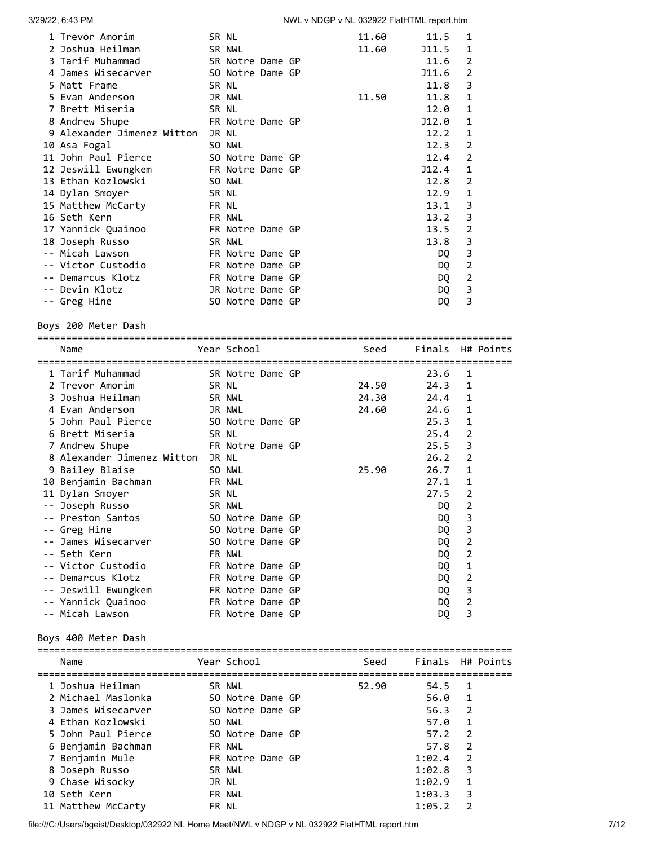| 1 Trevor Amorim            | SR NL            |  | 11.60 | 11.5  | 1              |
|----------------------------|------------------|--|-------|-------|----------------|
| 2 Joshua Heilman           | SR NWL           |  | 11.60 | J11.5 | 1              |
| 3 Tarif Muhammad           | SR Notre Dame GP |  |       | 11.6  | 2              |
| 4 James Wisecarver         | SO Notre Dame GP |  |       | J11.6 | 2              |
| 5 Matt Frame               | SR NL            |  |       | 11.8  | 3              |
| 5 Evan Anderson            | JR NWL           |  | 11.50 | 11.8  | 1              |
| 7 Brett Miseria            | SR NL            |  |       | 12.0  | 1              |
| 8 Andrew Shupe             | FR Notre Dame GP |  |       | J12.0 | 1              |
| 9 Alexander Jimenez Witton | JR NL            |  |       | 12.2  | 1              |
| 10 Asa Fogal               | SO NWL           |  |       | 12.3  | $\overline{2}$ |
| 11 John Paul Pierce        | SO Notre Dame GP |  |       | 12.4  | 2              |
| 12 Jeswill Ewungkem        | FR Notre Dame GP |  |       | J12.4 | 1              |
| 13 Ethan Kozlowski         | SO NWL           |  |       | 12.8  | $\overline{2}$ |
| 14 Dylan Smoyer            | SR NL            |  |       | 12.9  | $\mathbf{1}$   |
| 15 Matthew McCarty         | FR NL            |  |       | 13.1  | 3              |
| 16 Seth Kern               | FR NWL           |  |       | 13.2  | 3              |
| 17 Yannick Quainoo         | FR Notre Dame GP |  |       | 13.5  | 2              |
| 18 Joseph Russo            | SR NWL           |  |       | 13.8  | 3              |
| -- Micah Lawson            | FR Notre Dame GP |  |       | DQ    | 3              |
| -- Victor Custodio         | FR Notre Dame GP |  |       | DQ    | 2              |
| -- Demarcus Klotz          | FR Notre Dame GP |  |       | DQ    | 2              |
| -- Devin Klotz             | JR Notre Dame GP |  |       | DQ    | 3              |
| -- Greg Hine               | SO Notre Dame GP |  |       | DQ    | 3              |
|                            |                  |  |       |       |                |

Boys 200 Meter Dash

| Name                                        |               | Year School      |  | <b>Seed</b> | Finals H# Points |                |  |
|---------------------------------------------|---------------|------------------|--|-------------|------------------|----------------|--|
| 1 Tarif Muhammad                            |               | SR Notre Dame GP |  |             | 23.6             | 1              |  |
| 2 Trevor Amorim<br><b>SR NL</b>             |               |                  |  | 24.50       | 24.3             | $\mathbf{1}$   |  |
| 3 Joshua Heilman                            | <b>SR NWL</b> |                  |  | 24.30       | 24.4             | 1              |  |
| 4 Evan Anderson<br><b>JR NWL</b>            |               |                  |  | 24.60       | 24.6             | 1              |  |
| 5 John Paul Pierce 50 Notre Dame GP         |               |                  |  |             | 25.3             | $\mathbf{1}$   |  |
| 6 Brett Miseria<br><b>Example 18 SR NL</b>  |               |                  |  |             | 25.4             | $\overline{2}$ |  |
| <b>ER Notre Dame GP</b><br>7 Andrew Shupe   |               |                  |  |             | 25.5             | 3              |  |
| 8 Alexander Jimenez Witton JR NL            |               |                  |  |             | 26.2             | $\overline{2}$ |  |
| 9 Bailey Blaise                             | SO NWL        |                  |  | 25.90       | 26.7             | $\mathbf{1}$   |  |
| 10 Benjamin Bachman<br>FR NWL               |               |                  |  |             | 27.1             | $\mathbf{1}$   |  |
| 11 Dylan Smoyer                             | SR NL         |                  |  |             | 27.5             | $\overline{2}$ |  |
| -- Joseph Russo<br><b>Example 18 SR NWL</b> |               |                  |  |             | DO.              | $\overline{2}$ |  |
| -- Preston Santos<br>SO Notre Dame GP       |               |                  |  |             | DQ.              | 3              |  |
| -- Greg Hine                                |               | SO Notre Dame GP |  |             | DQ.              | 3              |  |
| -- James Wisecarver                         |               | SO Notre Dame GP |  |             | DQ               | $\overline{2}$ |  |
| -- Seth Kern                                |               | FR NWL           |  |             | DQ               | $\overline{2}$ |  |
| -- Victor Custodio                          |               | FR Notre Dame GP |  |             | DQ               | 1              |  |
| Demarcus Klotz                              |               | FR Notre Dame GP |  |             | DQ               | $\overline{2}$ |  |
| -- Jeswill Ewungkem                         |               | FR Notre Dame GP |  |             | DQ               | 3              |  |
| -- Yannick Quainoo FR Notre Dame GP         |               |                  |  |             | DQ               | $\overline{2}$ |  |
| -- Micah Lawson                             |               | FR Notre Dame GP |  |             | DQ               | 3              |  |
|                                             |               |                  |  |             |                  |                |  |

Boys 400 Meter Dash

| Year School      | Seed             |        | Finals H# Points |
|------------------|------------------|--------|------------------|
| SR NWL           | 52.90            | 54.5   | 1                |
|                  |                  |        | $\mathbf{1}$     |
| SO Notre Dame GP |                  | 56.3   | $\overline{2}$   |
| SO NWL           |                  | 57.0   | 1                |
| SO Notre Dame GP |                  | 57.2   | $\overline{2}$   |
| FR NWL           |                  | 57.8   | $\mathcal{P}$    |
| FR Notre Dame GP |                  | 1:02.4 | $\mathcal{P}$    |
| SR NWL           |                  | 1:02.8 | 3                |
| JR NL            |                  | 1:02.9 | 1                |
| FR NWL           |                  | 1:03.3 | 3                |
| FR NL            |                  | 1:05.2 | $\mathcal{P}$    |
|                  | SO Notre Dame GP |        | 56.0             |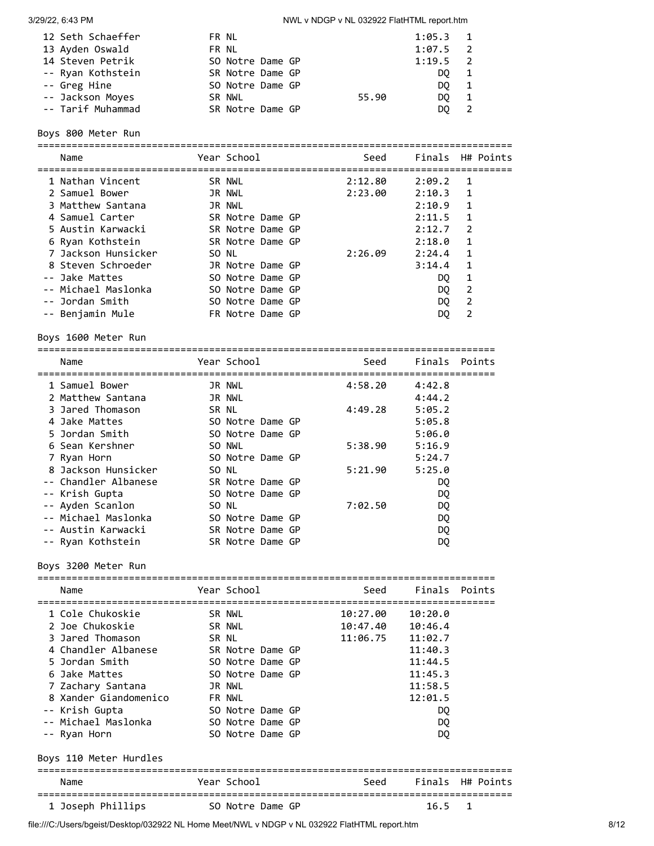| 12 Seth Schaeffer | FR NL            |       | $1:05.3$ 1 |                |
|-------------------|------------------|-------|------------|----------------|
| 13 Ayden Oswald   | FR NL            |       | $1:07.5$ 2 |                |
| 14 Steven Petrik  | SO Notre Dame GP |       | $1:19.5$ 2 |                |
| -- Ryan Kothstein | SR Notre Dame GP |       | DO.        |                |
| -- Greg Hine      | SO Notre Dame GP |       | DO.        |                |
| -- Jackson Moyes  | SR NWL           | 55.90 | DO.        | $\overline{1}$ |
| -- Tarif Muhammad | SR Notre Dame GP |       | DO.        |                |

Boys 800 Meter Run

=================================================================================== Name The Year School Seed Finals H# Points =================================================================================== 1 Nathan Vincent SR NWL 2:12.80 2:09.2 1 2 Samuel Bower JR NWL 2:23.00 2:10.3 1 3 Matthew Santana JR NWL 2:10.9 1 4 Samuel Carter SR Notre Dame GP 2:11.5 1 5 Austin Karwacki SR Notre Dame GP 2:12.7 2 6 Ryan Kothstein SR Notre Dame GP 2:18.0 1 7 Jackson Hunsicker SO NL 2:26.09 2:24.4 1 8 Steven Schroeder JR Notre Dame GP 3:14.4 1 -- Jake Mattes SO Notre Dame GP and DQ 1 -- Michael Maslonka SO Notre Dame GP DQ 2 -- Jordan Smith SO Notre Dame GP DQ 2 -- Benjamin Mule FR Notre Dame GP DQ 2

Boys 1600 Meter Run

| ========================== |                  |                | ======================== |               |  |
|----------------------------|------------------|----------------|--------------------------|---------------|--|
| Name<br>-----------------  | Year School      | -------------- | Seed                     | Finals Points |  |
| 1 Samuel Bower             | JR NWL           |                | 4:58.20                  | 4:42.8        |  |
| 2 Matthew Santana          | JR NWL           |                |                          | 4:44.2        |  |
| 3 Jared Thomason           | SR NL            |                | 4:49.28                  | 5:05.2        |  |
| 4 Jake Mattes              | SO Notre Dame GP |                |                          | 5:05.8        |  |
| 5 Jordan Smith             | SO Notre Dame GP |                |                          | 5:06.0        |  |
| 6 Sean Kershner            | SO NWL           |                | 5:38.90                  | 5:16.9        |  |
| 7 Ryan Horn                | SO Notre Dame GP |                |                          | 5:24.7        |  |
| 8 Jackson Hunsicker        | SO NL            |                | 5:21.90                  | 5:25.0        |  |
| -- Chandler Albanese       | SR Notre Dame GP |                |                          | DQ.           |  |
| -- Krish Gupta             | SO Notre Dame GP |                |                          | DQ.           |  |
| -- Ayden Scanlon           | SO NL            |                | 7:02.50                  | DQ            |  |
| -- Michael Maslonka        | SO Notre Dame GP |                |                          | DQ            |  |
| -- Austin Karwacki         | SR Notre Dame GP |                |                          | DQ            |  |
| -- Ryan Kothstein          | SR Notre Dame GP |                |                          | DQ            |  |

Boys 3200 Meter Run

| Name                               |        | Year School      | Seed     | Finals Points |                |
|------------------------------------|--------|------------------|----------|---------------|----------------|
| 1 Cole Chukoskie                   | SR NWL |                  | 10:27.00 | 10:20.0       |                |
| 2 Joe Chukoskie                    | SR NWL |                  | 10:47.40 | 10:46.4       |                |
| 3 Jared Thomason                   | SR NL  |                  | 11:06.75 | 11:02.7       |                |
| 4 Chandler Albanese                |        | SR Notre Dame GP |          | 11:40.3       |                |
| 5 Jordan Smith                     |        | SO Notre Dame GP |          | 11:44.5       |                |
| 6 Jake Mattes                      |        | SO Notre Dame GP |          | 11:45.3       |                |
| 7 Zachary Santana                  |        | JR NWL           |          | 11:58.5       |                |
| 8 Xander Giandomenico              |        | <b>FR NWL</b>    |          | 12:01.5       |                |
| -- Krish Gupta                     |        | SO Notre Dame GP |          | DQ.           |                |
| -- Michael Maslonka                |        | SO Notre Dame GP |          | DQ.           |                |
| -- Ryan Horn                       |        | SO Notre Dame GP |          | DQ.           |                |
| Boys 110 Meter Hurdles             |        |                  |          |               |                |
| Name                               |        | Year School      | Seed     | Finals        | H# Points      |
| 1 Joseph Phillips 50 Notre Dame GP |        |                  |          | 16.5          | $\overline{1}$ |
|                                    |        |                  |          |               |                |

file:///C:/Users/bgeist/Desktop/032922 NL Home Meet/NWL v NDGP v NL 032922 FlatHTML report.htm 8/12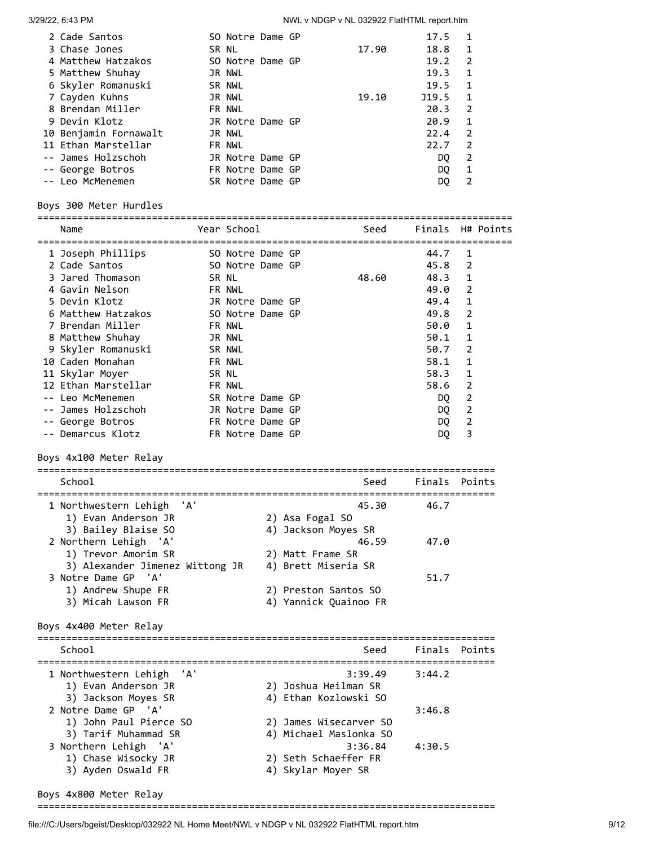| 2 Cade Santos         | SO Notre Dame GP |  |       | 17.5  | -1             |
|-----------------------|------------------|--|-------|-------|----------------|
| 3 Chase Jones         | SR NL            |  | 17.90 | 18.8  | $\blacksquare$ |
| 4 Matthew Hatzakos    | SO Notre Dame GP |  |       | 19.2  | $\mathcal{L}$  |
| 5 Matthew Shuhay      | JR NWL           |  |       | 19.3  | $\mathbf{1}$   |
| 6 Skyler Romanuski    | SR NWL           |  |       | 19.5  | 1              |
| 7 Cayden Kuhns        | JR NWL           |  | 19.10 | J19.5 | 1              |
| 8 Brendan Miller      | FR NWL           |  |       | 20.3  | $\mathcal{L}$  |
| 9 Devin Klotz         | JR Notre Dame GP |  |       | 20.9  | - 1            |
| 10 Benjamin Fornawalt | JR NWL           |  |       | 22.4  | 2              |
| 11 Ethan Marstellar   | FR NWL           |  |       | 22.7  | $\mathcal{L}$  |
| -- James Holzschoh    | JR Notre Dame GP |  |       | DO.   | 2              |
| -- George Botros      | FR Notre Dame GP |  |       | DO.   | 1              |
| -- Leo McMenemen      | SR Notre Dame GP |  |       | DQ    |                |

 -- George Botros FR Notre Dame GP DQ 1 -- Leo McMenemen SR Notre Dame GP DQ 2 Boys 300 Meter Hurdles =================================================================================== Name The Year School Seed Finals H# Points =================================================================================== 1 Joseph Phillips SO Notre Dame GP 44.7 1 2 Cade Santos SO Notre Dame GP 45.8 2 3 Jared Thomason SR NL 48.60 48.3 1 4 Gavin Nelson FR NWL 49.0 2 5 Devin Klotz JR Notre Dame GP 49.4 1 6 Matthew Hatzakos SO Notre Dame GP 49.8 2 7 Brendan Miller FR NWL 50.0 1 8 Matthew Shuhay JR NWL 50.1 1 9 Skyler Romanuski SR NWL 50.7 2 10 Caden Monahan FR NWL 58.1 1 11 Skylar Moyer SR NL 58.3 1 12 Ethan Marstellar FR NWL 58.6 2 -- Leo McMenemen SR Notre Dame GP DQ 2 -- James Holzschoh JR Notre Dame GP DQ 2 -- George Botros **FR** Notre Dame GP **DQ 2**  -- Demarcus Klotz FR Notre Dame GP DQ 3 Boys 4x100 Meter Relay ================================================================================ School Seed Finals Points ================================================================================ 1 Northwestern Lehigh 'A' 45.30 46.7 1) Evan Anderson JR 2) Asa Fogal SO 3) Bailey Blaise SO 4) Jackson Moyes SR 2 Northern Lehigh 'A' 46.59 47.0 1) Trevor Amorim SR 2) Matt Frame SR 3) Alexander Jimenez Wittong JR 4) Brett Miseria SR 3 Notre Dame GP 'A' 51.7 2) Preston Santos SO 1) Andrew Shupe FR 2) Preston Santos SO<br>3) Micah Lawson FR 4) Yannick Quainoo FR Boys 4x400 Meter Relay ================================================================================ School Seed Finals Points ================================================================================ 1 Northwestern Lehigh 'A' 3:39.49 3:44.2 1) Evan Anderson JR 2) Joshua Heilman SR 3) Jackson Moyes SR 4) Ethan Kozlowski SO 2 Notre Dame GP 'A' 3:46.8 1) John Paul Pierce SO 2) James Wisecarver SO 3) Tarif Muhammad SR 4) Michael Maslonka SO 3 Northern Lehigh 'A' 3:36.84 4:30.5

#### Boys 4x800 Meter Relay

================================================================================

 1) Chase Wisocky JR 2) Seth Schaeffer FR 3) Ayden Oswald FR 4) Skylar Moyer SR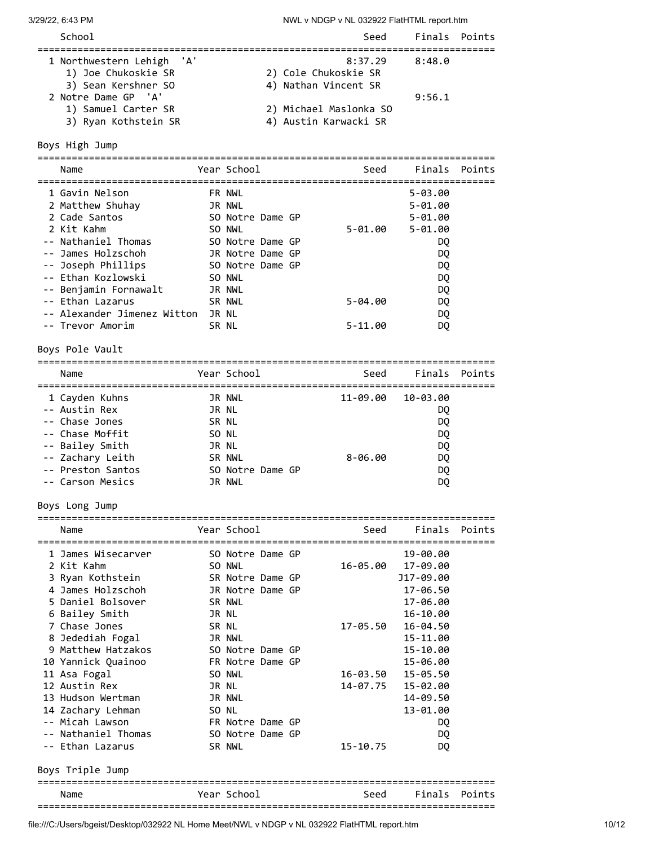| School                                                                  | Seed                                                    | Finals Points |  |
|-------------------------------------------------------------------------|---------------------------------------------------------|---------------|--|
| 1 Northwestern Lehigh 'A'<br>1) Joe Chukoskie SR<br>3) Sean Kershner SO | 8:37.29<br>2) Cole Chukoskie SR<br>4) Nathan Vincent SR | 8:48.0        |  |
| 2 Notre Dame GP 'A'<br>1) Samuel Carter SR<br>3) Ryan Kothstein SR      | 2) Michael Maslonka SO<br>4) Austin Karwacki SR         | 9:56.1        |  |

Boys High Jump

================================================================================ Name The Year School Contract Seed Finals Points ================================================================================ 1 Gavin Nelson FR NWL 5-03.00 2 Matthew Shuhay JR NWL 5-01.00 2 Cade Santos SO Notre Dame GP 5-01.00 2 Kit Kahm SO NWL 5-01.00 5-01.00 -- Nathaniel Thomas SO Notre Dame GP DQ -- James Holzschoh JR Notre Dame GP DQ -- Joseph Phillips SO Notre Dame GP DQ -- Ethan Kozlowski SO NWL DQ -- Benjamin Fornawalt JR NWL DQ -- Ethan Lazarus SR NWL 5-04.00 DQ -- Alexander Jimenez Witton JR NL DOQ -- Trevor Amorim SR NL 5-11.00 DQ

Boys Pole Vault

| Year School<br>Seed<br>Name                   | Finals Points |
|-----------------------------------------------|---------------|
|                                               |               |
| 1 Cayden Kuhns<br>11-09.00 10-03.00<br>JR NWL |               |
| -- Austin Rex<br>JR NL                        | DO.           |
| SR NL<br>-- Chase Jones                       | DQ.           |
| -- Chase Moffit<br>SO NL                      | DQ            |
| -- Bailey Smith<br>JR NL                      | DQ            |
| -- Zachary Leith<br>$8 - 06.00$<br>SR NWL     | DQ            |
| -- Preston Santos<br>SO Notre Dame GP         | DQ            |
| -- Carson Mesics<br>JR NWL                    | DQ            |

Boys Long Jump

| Name                |       | Year School      |  | Seed     | Finals Points      |  |
|---------------------|-------|------------------|--|----------|--------------------|--|
|                     |       |                  |  |          |                    |  |
| 1 James Wisecarver  |       | SO Notre Dame GP |  |          | 19-00.00           |  |
| 2 Kit Kahm          |       | SO NWL           |  |          | 16-05.00 17-09.00  |  |
| 3 Ryan Kothstein    |       | SR Notre Dame GP |  |          | J17-09.00          |  |
| 4 James Holzschoh   |       | JR Notre Dame GP |  |          | 17-06.50           |  |
| 5 Daniel Bolsover   |       | SR NWL           |  |          | 17-06.00           |  |
| 6 Bailey Smith      | JR NL |                  |  |          | 16-10.00           |  |
| 7 Chase Jones       | SR NL |                  |  | 17-05.50 | 16-04.50           |  |
| 8 Jedediah Fogal    |       | JR NWL           |  |          | 15-11.00           |  |
| 9 Matthew Hatzakos  |       | SO Notre Dame GP |  |          | 15-10.00           |  |
| 10 Yannick Quainoo  |       | FR Notre Dame GP |  |          | 15-06.00           |  |
| 11 Asa Fogal        |       | SO NWL           |  | 16-03.50 | 15-05.50           |  |
| 12 Austin Rex       | JR NL |                  |  |          | 14-07.75  15-02.00 |  |
| 13 Hudson Wertman   |       | JR NWL           |  |          | 14-09.50           |  |
| 14 Zachary Lehman   | SO NL |                  |  |          | 13-01.00           |  |
| -- Micah Lawson     |       | FR Notre Dame GP |  |          | DQ                 |  |
| -- Nathaniel Thomas |       | SO Notre Dame GP |  |          | DQ                 |  |
| -- Ethan Lazarus    |       | SR NWL           |  | 15-10.75 | DQ.                |  |
|                     |       |                  |  |          |                    |  |

Boys Triple Jump

| Name | Year<br>-School | Seed | Finals | Points |
|------|-----------------|------|--------|--------|
|      |                 |      |        |        |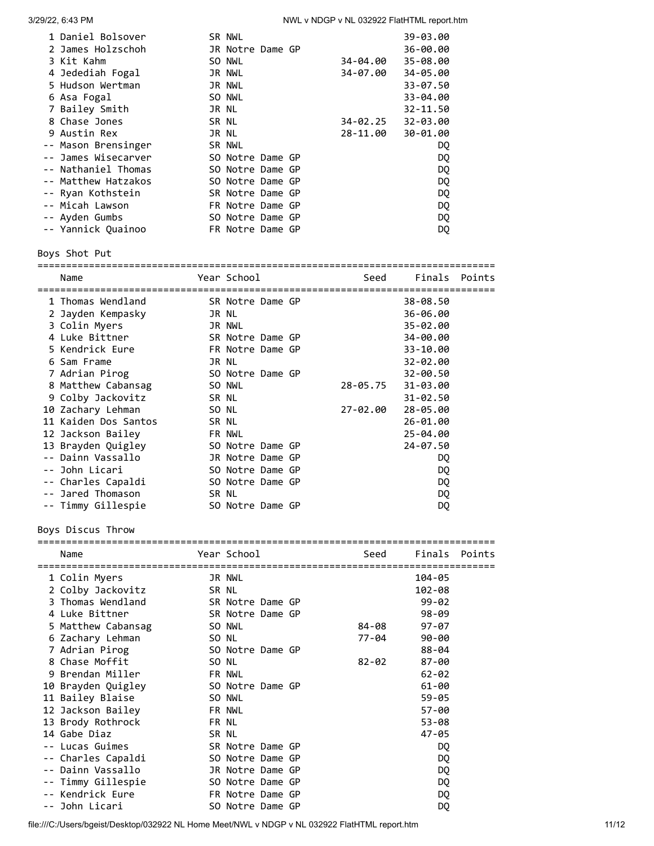| 1 Daniel Bolsover   | SR NWL           |  |          | 39-03.00 |
|---------------------|------------------|--|----------|----------|
| 2 James Holzschoh   | JR Notre Dame GP |  |          | 36-00.00 |
| 3 Kit Kahm          | SO NWL           |  | 34-04.00 | 35-08.00 |
| 4 Jedediah Fogal    | JR NWL           |  | 34-07.00 | 34-05.00 |
| 5 Hudson Wertman    | JR NWL           |  |          | 33-07.50 |
| 6 Asa Fogal         | SO NWL           |  |          | 33-04.00 |
| 7 Bailey Smith      | JR NL            |  |          | 32-11.50 |
| 8 Chase Jones       | SR NL            |  | 34-02.25 | 32-03.00 |
| 9 Austin Rex        | JR NL            |  | 28-11.00 | 30-01.00 |
| -- Mason Brensinger | SR NWL           |  |          | DQ       |
| -- James Wisecarver | SO Notre Dame GP |  |          | DQ       |
| -- Nathaniel Thomas | SO Notre Dame GP |  |          | DQ       |
| -- Matthew Hatzakos | SO Notre Dame GP |  |          | DQ       |
| -- Ryan Kothstein   | SR Notre Dame GP |  |          | DQ       |
| -- Micah Lawson     | FR Notre Dame GP |  |          | DQ       |
| -- Ayden Gumbs      | SO Notre Dame GP |  |          | DQ       |
| -- Yannick Quainoo  | FR Notre Dame GP |  |          | DQ       |
|                     |                  |  |          |          |

Boys Shot Put

================================================================================ Name Year School Seed Finals Points ================================================================================ 1 Thomas Wendland SR Notre Dame GP 38-08.50 2 Jayden Kempasky JR NL 36-06.00 3 Colin Myers JR NWL 35-02.00 4 Luke Bittner SR Notre Dame GP 34-00.00 5 Kendrick Eure FR Notre Dame GP 33-10.00 6 Sam Frame JR NL 32-02.00 7 Adrian Pirog SO Notre Dame GP 32-00.50 8 Matthew Cabansag SO NWL 28-05.75 31-03.00 9 Colby Jackovitz SR NL 31-02.50 10 Zachary Lehman SO NL 27-02.00 28-05.00 11 Kaiden Dos Santos SR NL 26-01.00 12 Jackson Bailey FR NWL 25-04.00 13 Brayden Quigley SO Notre Dame GP 24-07.50 -- Dainn Vassallo JR Notre Dame GP DQ -- John Licari SO Notre Dame GP DQ -- Charles Capaldi SO Notre Dame GP DQ -- Jared Thomason SR NL DQ -- Timmy Gillespie SO Notre Dame GP DQ

Boys Discus Throw

| Name               |       | Year School      |  | Seed      |            | Finals Points |
|--------------------|-------|------------------|--|-----------|------------|---------------|
| 1 Colin Myers      |       | JR NWL           |  |           | 104-05     |               |
| 2 Colby Jackovitz  | SR NL |                  |  |           | $102 - 08$ |               |
| 3 Thomas Wendland  |       | SR Notre Dame GP |  |           | $99 - 02$  |               |
| 4 Luke Bittner     |       | SR Notre Dame GP |  |           | $98 - 09$  |               |
| 5 Matthew Cabansag |       | SO NWL           |  | 84-08     | $97 - 07$  |               |
| 6 Zachary Lehman   | SO NL |                  |  | 77-04     | $90 - 00$  |               |
| 7 Adrian Pirog     |       | SO Notre Dame GP |  |           | 88-04      |               |
| 8 Chase Moffit     | SO NL |                  |  | $82 - 02$ | $87 - 00$  |               |
| 9 Brendan Miller   |       | FR NWL           |  |           | $62 - 02$  |               |
| 10 Brayden Quigley |       | SO Notre Dame GP |  |           | 61-00      |               |
| 11 Bailey Blaise   |       | SO NWL           |  |           | $59 - 05$  |               |
| 12 Jackson Bailey  |       | FR NWL           |  |           | $57 - 00$  |               |
| 13 Brody Rothrock  | FR NL |                  |  |           | 53-08      |               |
| 14 Gabe Diaz       | SR NL |                  |  |           | 47-05      |               |
| -- Lucas Guimes    |       | SR Notre Dame GP |  |           | DQ         |               |
| -- Charles Capaldi |       | SO Notre Dame GP |  |           | DQ         |               |
| -- Dainn Vassallo  |       | JR Notre Dame GP |  |           | DQ         |               |
| -- Timmy Gillespie |       | SO Notre Dame GP |  |           | DQ         |               |
| -- Kendrick Eure   |       | FR Notre Dame GP |  |           | DQ         |               |
| -- John Licari     |       | SO Notre Dame GP |  |           | DQ         |               |